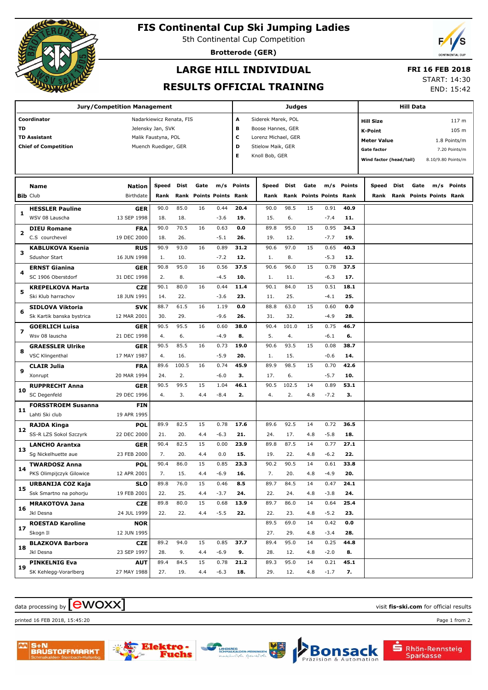

## **FIS Continental Cup Ski Jumping Ladies**

5th Continental Cup Competition

**Brotterode (GER)**

# **LARGE HILL INDIVIDUAL**

### **FRI 16 FEB 2018**

## **RESULTS OFFICIAL TRAINING**

START: 14:30 END: 15:42

| <b>Jury/Competition Management</b> |                             |                          |                      |       |      |                           |                          | <b>Judges</b>     |       |                           |        |            |                           | <b>Hill Data</b> |                         |                    |  |
|------------------------------------|-----------------------------|--------------------------|----------------------|-------|------|---------------------------|--------------------------|-------------------|-------|---------------------------|--------|------------|---------------------------|------------------|-------------------------|--------------------|--|
|                                    | Coordinator                 | Nadarkiewicz Renata, FIS |                      |       |      |                           | А<br>Siderek Marek, POL  |                   |       |                           |        |            | 117 m<br><b>Hill Size</b> |                  |                         |                    |  |
| TD                                 |                             | Jelensky Jan, SVK        |                      |       |      |                           | в<br>Boose Hannes, GER   |                   |       |                           |        |            | <b>K-Point</b>            |                  |                         | 105 m              |  |
|                                    | <b>TD Assistant</b>         | Malik Faustyna, POL      |                      |       |      |                           | с<br>Lorenz Michael, GER |                   |       |                           |        |            | <b>Meter Value</b>        |                  |                         | 1.8 Points/m       |  |
|                                    | <b>Chief of Competition</b> |                          | Muench Ruediger, GER |       |      |                           | D                        | Stielow Maik, GER |       |                           |        |            | <b>Gate factor</b>        |                  |                         | 7.20 Points/m      |  |
|                                    |                             |                          |                      |       |      |                           | Е                        | Knoll Bob, GER    |       |                           |        |            | Wind factor (head/tail)   |                  |                         | 8.10/9.80 Points/m |  |
|                                    |                             |                          |                      |       |      |                           |                          |                   |       |                           |        |            |                           |                  |                         |                    |  |
|                                    | Name                        | <b>Nation</b>            | Speed                | Dist  | Gate | m/s                       | <b>Points</b>            | Speed             | Dist  | Gate                      |        | m/s Points | Speed                     | Dist             | Gate<br>m/s             | Points             |  |
|                                    | <b>Bib Club</b>             | Birthdate                | Rank                 | Rank  |      | <b>Points Points Rank</b> |                          | Rank              | Rank  | <b>Points Points Rank</b> |        |            | Rank                      |                  | Rank Points Points Rank |                    |  |
| 1                                  | <b>HESSLER Pauline</b>      | <b>GER</b>               | 90.0                 | 85.0  | 16   | 0.44                      | 20.4                     | 90.0              | 98.5  | 15                        | 0.91   | 40.9       |                           |                  |                         |                    |  |
|                                    | WSV 08 Lauscha              | 13 SEP 1998              | 18.                  | 18.   |      | $-3.6$                    | 19.                      | 15.               | 6.    |                           | $-7.4$ | 11.        |                           |                  |                         |                    |  |
| 2                                  | <b>DIEU Romane</b>          | <b>FRA</b>               | 90.0                 | 70.5  | 16   | 0.63                      | 0.0                      | 89.8              | 95.0  | 15                        | 0.95   | 34.3       |                           |                  |                         |                    |  |
|                                    | C.S courchevel              | 19 DEC 2000              | 18.                  | 26.   |      | $-5.1$                    | 26.                      | 19.               | 12.   |                           | $-7.7$ | 19.        |                           |                  |                         |                    |  |
| з                                  | <b>KABLUKOVA Ksenia</b>     | <b>RUS</b>               | 90.9                 | 93.0  | 16   | 0.89                      | 31.2                     | 90.6              | 97.0  | 15                        | 0.65   | 40.3       |                           |                  |                         |                    |  |
|                                    | <b>Sdushor Start</b>        | 16 JUN 1998              | 1.                   | 10.   |      | $-7.2$                    | 12.                      | 1.                | 8.    |                           | $-5.3$ | 12.        |                           |                  |                         |                    |  |
| 4                                  | <b>ERNST Gianina</b>        | <b>GER</b>               | 90.8                 | 95.0  | 16   | 0.56                      | 37.5                     | 90.6              | 96.0  | 15                        | 0.78   | 37.5       |                           |                  |                         |                    |  |
|                                    | SC 1906 Oberstdorf          | 31 DEC 1998              | 2.                   | 8.    |      | $-4.5$                    | 10.                      | 1.                | 11.   |                           | $-6.3$ | 17.        |                           |                  |                         |                    |  |
| 5                                  | <b>KREPELKOVA Marta</b>     | <b>CZE</b>               | 90.1                 | 80.0  | 16   | 0.44                      | 11.4                     | 90.1              | 84.0  | 15                        | 0.51   | 18.1       |                           |                  |                         |                    |  |
|                                    | Ski Klub harrachov          | 18 JUN 1991              | 14.                  | 22.   |      | $-3.6$                    | 23.                      | 11.               | 25.   |                           | $-4.1$ | 25.        |                           |                  |                         |                    |  |
| 6                                  | <b>SIDLOVA Viktoria</b>     | <b>SVK</b>               | 88.7                 | 61.5  | 16   | 1.19                      | 0.0                      | 88.8              | 63.0  | 15                        | 0.60   | 0.0        |                           |                  |                         |                    |  |
|                                    | Sk Kartik banska bystrica   | 12 MAR 2001              | 30.                  | 29.   |      | $-9.6$                    | 26.                      | 31.               | 32.   |                           | $-4.9$ | 28.        |                           |                  |                         |                    |  |
| $\overline{\mathbf{z}}$            | <b>GOERLICH Luisa</b>       | <b>GER</b>               | 90.5                 | 95.5  | 16   | 0.60                      | 38.0                     | 90.4              | 101.0 | 15                        | 0.75   | 46.7       |                           |                  |                         |                    |  |
|                                    | Wsv 08 lauscha              | 21 DEC 1998              | 4.                   | 6.    |      | $-4.9$                    | 8.                       | 5.                | 4.    |                           | $-6.1$ | 6.         |                           |                  |                         |                    |  |
| 8                                  | <b>GRAESSLER Ulrike</b>     | GER                      | 90.5                 | 85.5  | 16   | 0.73                      | 19.0                     | 90.6              | 93.5  | 15                        | 0.08   | 38.7       |                           |                  |                         |                    |  |
|                                    | <b>VSC Klingenthal</b>      | 17 MAY 1987              | 4.                   | 16.   |      | $-5.9$                    | 20.                      | 1.                | 15.   |                           | $-0.6$ | 14.        |                           |                  |                         |                    |  |
| 9                                  | <b>CLAIR Julia</b>          | <b>FRA</b>               | 89.6                 | 100.5 | 16   | 0.74                      | 45.9                     | 89.9              | 98.5  | 15                        | 0.70   | 42.6       |                           |                  |                         |                    |  |
|                                    | Xonrupt                     | 20 MAR 1994              | 24.                  | 2.    |      | $-6.0$                    | З.                       | 17.               | 6.    |                           | $-5.7$ | 10.        |                           |                  |                         |                    |  |
| 10                                 | <b>RUPPRECHT Anna</b>       | GER                      | 90.5                 | 99.5  | 15   | 1.04                      | 46.1                     | 90.5              | 102.5 | 14                        | 0.89   | 53.1       |                           |                  |                         |                    |  |
|                                    | SC Degenfeld                | 29 DEC 1996              | 4.                   | 3.    | 4.4  | $-8.4$                    | 2.                       | 4.                | 2.    | 4.8                       | $-7.2$ | з.         |                           |                  |                         |                    |  |
| 11                                 | <b>FORSSTROEM Susanna</b>   | <b>FIN</b>               |                      |       |      |                           |                          |                   |       |                           |        |            |                           |                  |                         |                    |  |
|                                    | Lahti Ski club              | 19 APR 1995              |                      |       |      |                           |                          |                   |       |                           |        |            |                           |                  |                         |                    |  |
| 12                                 | RAJDA Kinga                 | <b>POL</b>               | 89.9                 | 82.5  | 15   | 0.78                      | 17.6                     | 89.6              | 92.5  | 14                        | 0.72   | 36.5       |                           |                  |                         |                    |  |
|                                    | SS-R LZS Sokol Szczyrk      | 22 DEC 2000              | 21.                  | 20.   | 4.4  | $-6.3$                    | 21.                      | 24.               | 17.   | 4.8                       | $-5.8$ | 18.        |                           |                  |                         |                    |  |
| 13                                 | <b>LANCHO Arantxa</b>       | GER                      | 90.4                 | 82.5  | 15   | 0.00                      | 23.9                     | 89.8              | 87.5  | 14                        | 0.77   | 27.1       |                           |                  |                         |                    |  |
|                                    | Sg Nickelhuette aue         | 23 FEB 2000              | 7.                   | 20.   | 4.4  | 0.0                       | 15.                      | 19.               | 22.   | 4.8                       | $-6.2$ | 22.        |                           |                  |                         |                    |  |
| 14                                 | <b>TWARDOSZ Anna</b>        | <b>POL</b>               | 90.4                 | 86.0  | 15   | 0.85                      | 23.3                     | 90.2              | 90.5  | 14                        | 0.61   | 33.8       |                           |                  |                         |                    |  |
|                                    | PKS Olimpijczyk Gilowice    | 12 APR 2001              | 7.                   | 15.   | 4.4  | $-6.9$                    | 16.                      | 7.                | 20.   | 4.8                       | $-4.9$ | 20.        |                           |                  |                         |                    |  |
| 15                                 | URBANIJA COZ Kaja           | <b>SLO</b>               | 89.8                 | 76.0  | 15   | 0.46                      | 8.5                      | 89.7              | 84.5  | 14                        | 0.47   | 24.1       |                           |                  |                         |                    |  |
|                                    | Ssk Smartno na pohorju      | 19 FEB 2001              | 22.                  | 25.   | 4.4  | $-3.7$                    | 24.                      | 22.               | 24.   | 4.8                       | $-3.8$ | 24.        |                           |                  |                         |                    |  |
| 16                                 | <b>MRAKOTOVA Jana</b>       | <b>CZE</b>               | 89.8                 | 80.0  | 15   | 0.68                      | 13.9                     | 89.7              | 86.0  | 14                        | 0.64   | 25.4       |                           |                  |                         |                    |  |
|                                    | Jkl Desna                   | 24 JUL 1999              | 22.                  | 22.   | 4.4  | $-5.5$                    | 22.                      | 22.               | 23.   | 4.8                       | $-5.2$ | 23.        |                           |                  |                         |                    |  |
| 17                                 | <b>ROESTAD Karoline</b>     | <b>NOR</b>               |                      |       |      |                           |                          | 89.5              | 69.0  | 14                        | 0.42   | 0.0        |                           |                  |                         |                    |  |
|                                    | Skogn Il                    | 12 JUN 1995              |                      |       |      |                           |                          | 27.               | 29.   | 4.8                       | $-3.4$ | 28.        |                           |                  |                         |                    |  |
| 18                                 | <b>BLAZKOVA Barbora</b>     | <b>CZE</b>               | 89.2                 | 94.0  | 15   | 0.85                      | 37.7                     | 89.4              | 95.0  | 14                        | 0.25   | 44.8       |                           |                  |                         |                    |  |
|                                    | Jkl Desna                   | 23 SEP 1997              | 28.                  | 9.    | 4.4  | $-6.9$                    | 9.                       | 28.               | 12.   | 4.8                       | $-2.0$ | 8.         |                           |                  |                         |                    |  |
| 19                                 | <b>PINKELNIG Eva</b>        | AUT                      | 89.4                 | 84.5  | 15   | 0.78                      | 21.2                     | 89.3              | 95.0  | 14                        | 0.21   | 45.1       |                           |                  |                         |                    |  |
|                                    | SK Kehlegg-Vorarlberg       | 27 MAY 1988              | 27.                  | 19.   | 4.4  | $-6.3$                    | 18.                      | 29.               | 12.   | 4.8                       | $-1.7$ | 7.         |                           |                  |                         |                    |  |

# data processing by **CWOXX** and  $\overline{C}$  and  $\overline{C}$  and  $\overline{C}$  and  $\overline{C}$  and  $\overline{C}$  and  $\overline{C}$  and  $\overline{C}$  and  $\overline{C}$  and  $\overline{C}$  and  $\overline{C}$  and  $\overline{C}$  and  $\overline{C}$  and  $\overline{C}$  and  $\overline{C}$  and  $\overline{C}$

printed 16 FEB 2018, 15:45:20 Page 1 from 2